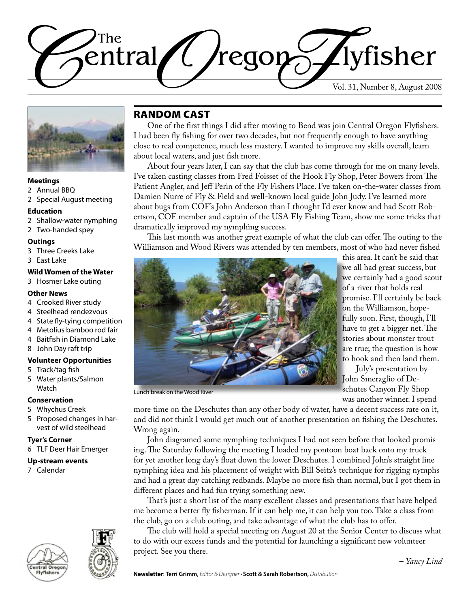



### **Meetings**

- 2 Annual BBQ
- 2 Special August meeting

#### **Education**

- 2 Shallow-water nymphing
- 2 Two-handed spey

#### **Outings**

- 3 Three Creeks Lake
- 3 East Lake

### **Wild Women of the Water**

3 Hosmer Lake outing

### **Other News**

- 4 Crooked River study
- 4 Steelhead rendezvous
- 4 State fly-tying competition
- 4 Metolius bamboo rod fair
- 4 Baitfish in Diamond Lake
- 8 John Day raft trip

### **Volunteer Opportunities**

- 5 Track/tag fish
- 5 Water plants/Salmon Watch

### **Conservation**

- 5 Whychus Creek
- 5 Proposed changes in harvest of wild steelhead

### **Tyer's Corner**

6 TLF Deer Hair Emerger

#### **Up-stream events**

7 Calendar





### Random Cast

One of the first things I did after moving to Bend was join Central Oregon Flyfishers. I had been fly fishing for over two decades, but not frequently enough to have anything close to real competence, much less mastery. I wanted to improve my skills overall, learn about local waters, and just fish more.

About four years later, I can say that the club has come through for me on many levels. I've taken casting classes from Fred Foisset of the Hook Fly Shop, Peter Bowers from The Patient Angler, and Jeff Perin of the Fly Fishers Place. I've taken on-the-water classes from Damien Nurre of Fly & Field and well-known local guide John Judy. I've learned more about bugs from COF's John Anderson than I thought I'd ever know and had Scott Robertson, COF member and captain of the USA Fly Fishing Team, show me some tricks that dramatically improved my nymphing success.

This last month was another great example of what the club can offer. The outing to the Williamson and Wood Rivers was attended by ten members, most of who had never fished



to hook and then land them. July's presentation by John Smeraglio of De-

Lunch break on the Wood River

schutes Canyon Fly Shop was another winner. I spend more time on the Deschutes than any other body of water, have a decent success rate on it, and did not think I would get much out of another presentation on fishing the Deschutes.

Wrong again. John diagramed some nymphing techniques I had not seen before that looked promising. The Saturday following the meeting I loaded my pontoon boat back onto my truck for yet another long day's float down the lower Deschutes. I combined John's straight line nymphing idea and his placement of weight with Bill Seitz's technique for rigging nymphs and had a great day catching redbands. Maybe no more fish than normal, but I got them in different places and had fun trying something new.

That's just a short list of the many excellent classes and presentations that have helped me become a better fly fisherman. If it can help me, it can help you too. Take a class from the club, go on a club outing, and take advantage of what the club has to offer.

The club will hold a special meeting on August 20 at the Senior Center to discuss what to do with our excess funds and the potential for launching a significant new volunteer project. See you there.

– *Yancy Lind*

this area. It can't be said that we all had great success, but we certainly had a good scout of a river that holds real promise. I'll certainly be back on the Williamson, hopefully soon. First, though, I'll have to get a bigger net. The stories about monster trout are true; the question is how

**Newsletter**: **Terri Grimm**, *Editor & Designer •* **Scott & Sarah Robertson,** *Distribution*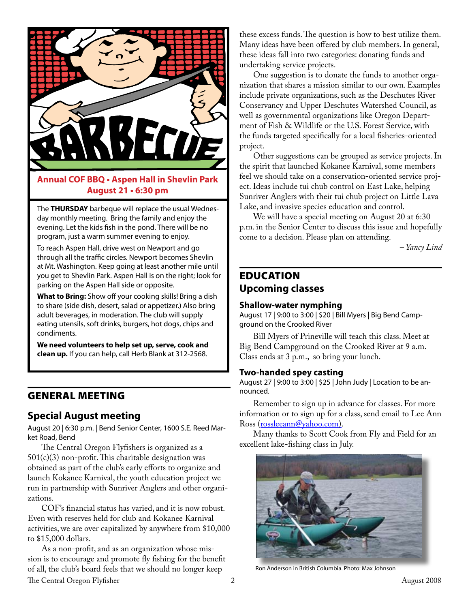

### **Annual COF BBQ • Aspen Hall in Shevlin Park August 21 • 6:30 pm**

The **THURSDAY** barbeque will replace the usual Wednesday monthly meeting. Bring the family and enjoy the evening. Let the kids fish in the pond. There will be no program, just a warm summer evening to enjoy.

To reach Aspen Hall, drive west on Newport and go through all the traffic circles. Newport becomes Shevlin at Mt. Washington. Keep going at least another mile until you get to Shevlin Park. Aspen Hall is on the right; look for parking on the Aspen Hall side or opposite.

**What to Bring:** Show off your cooking skills! Bring a dish to share (side dish, desert, salad or appetizer.) Also bring adult beverages, in moderation. The club will supply eating utensils, soft drinks, burgers, hot dogs, chips and condiments.

**We need volunteers to help set up, serve, cook and clean up.** If you can help, call Herb Blank at 312-2568.

### General Meeting

### **Special August meeting**

August 20 | 6:30 p.m. | Bend Senior Center, 1600 S.E. Reed Market Road, Bend

The Central Oregon Flyfishers is organized as a  $501(c)(3)$  non-profit. This charitable designation was obtained as part of the club's early efforts to organize and launch Kokanee Karnival, the youth education project we run in partnership with Sunriver Anglers and other organizations.

COF's financial status has varied, and it is now robust. Even with reserves held for club and Kokanee Karnival activities, we are over capitalized by anywhere from \$10,000 to \$15,000 dollars.

The Central Oregon Flyfisher 2 August 2008 As a non-profit, and as an organization whose mission is to encourage and promote fly fishing for the benefit of all, the club's board feels that we should no longer keep

these excess funds. The question is how to best utilize them. Many ideas have been offered by club members. In general, these ideas fall into two categories: donating funds and undertaking service projects.

One suggestion is to donate the funds to another organization that shares a mission similar to our own. Examples include private organizations, such as the Deschutes River Conservancy and Upper Deschutes Watershed Council, as well as governmental organizations like Oregon Department of Fish & Wildlife or the U.S. Forest Service, with the funds targeted specifically for a local fisheries-oriented project.

Other suggestions can be grouped as service projects. In the spirit that launched Kokanee Karnival, some members feel we should take on a conservation-oriented service project. Ideas include tui chub control on East Lake, helping Sunriver Anglers with their tui chub project on Little Lava Lake, and invasive species education and control.

We will have a special meeting on August 20 at 6:30 p.m. in the Senior Center to discuss this issue and hopefully come to a decision. Please plan on attending.

*– Yancy Lind*

# **EDUCATION Upcoming classes**

### **Shallow-water nymphing**

August 17 | 9:00 to 3:00 | \$20 | Bill Myers | Big Bend Campground on the Crooked River

Bill Myers of Prineville will teach this class. Meet at Big Bend Campground on the Crooked River at 9 a.m. Class ends at 3 p.m., so bring your lunch.

### **Two-handed spey casting**

August 27 | 9:00 to 3:00 | \$25 | John Judy | Location to be announced.

Remember to sign up in advance for classes. For more information or to sign up for a class, send email to Lee Ann Ross [\(rossleeann@yahoo.com](mailto:rossleeann@yahoo.com)).

Many thanks to Scott Cook from Fly and Field for an excellent lake-fishing class in July.



Ron Anderson in British Columbia. Photo: Max Johnson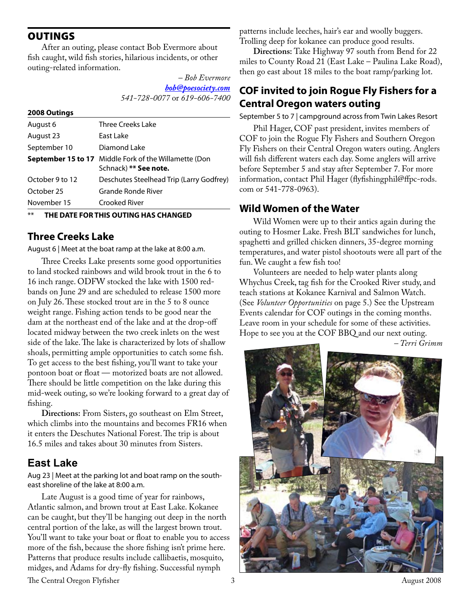**OUTINGS** 

After an outing, please contact Bob Evermore about fish caught, wild fish stories, hilarious incidents, or other outing-related information.

> *– Bob Evermore [bob@poesociety.com](mailto:bob@poesociety.com) 541-728-0077* or *619-606-7400*

| Three Creeks Lake                                                                 |  |
|-----------------------------------------------------------------------------------|--|
| East Lake                                                                         |  |
| Diamond Lake                                                                      |  |
| September 15 to 17<br>Middle Fork of the Willamette (Don<br>Schnack) ** See note. |  |
| Deschutes Steelhead Trip (Larry Godfrey)                                          |  |
| Grande Ronde River                                                                |  |
| Crooked River                                                                     |  |
|                                                                                   |  |

**THE DATE FOR THIS OUTING HAS CHANGED** 

### **Three Creeks Lake**

August 6 | Meet at the boat ramp at the lake at 8:00 a.m.

Three Creeks Lake presents some good opportunities to land stocked rainbows and wild brook trout in the 6 to 16 inch range. ODFW stocked the lake with 1500 redbands on June 29 and are scheduled to release 1500 more on July 26. These stocked trout are in the 5 to 8 ounce weight range. Fishing action tends to be good near the dam at the northeast end of the lake and at the drop-off located midway between the two creek inlets on the west side of the lake. The lake is characterized by lots of shallow shoals, permitting ample opportunities to catch some fish. To get access to the best fishing, you'll want to take your pontoon boat or float — motorized boats are not allowed. There should be little competition on the lake during this mid-week outing, so we're looking forward to a great day of fishing.

**Directions:** From Sisters, go southeast on Elm Street, which climbs into the mountains and becomes FR16 when it enters the Deschutes National Forest. The trip is about 16.5 miles and takes about 30 minutes from Sisters.

## **East Lake**

Aug 23 | Meet at the parking lot and boat ramp on the southeast shoreline of the lake at 8:00 a.m.

Late August is a good time of year for rainbows, Atlantic salmon, and brown trout at East Lake. Kokanee can be caught, but they'll be hanging out deep in the north central portion of the lake, as will the largest brown trout. You'll want to take your boat or float to enable you to access more of the fish, because the shore fishing isn't prime here. Patterns that produce results include callibaetis, mosquito, midges, and Adams for dry-fly fishing. Successful nymph

patterns include leeches, hair's ear and woolly buggers. Trolling deep for kokanee can produce good results.

**Directions:** Take Highway 97 south from Bend for 22 miles to County Road 21 (East Lake – Paulina Lake Road), then go east about 18 miles to the boat ramp/parking lot.

## **COF invited to join Rogue Fly Fishers for a Central Oregon waters outing**

September 5 to 7 | campground across from Twin Lakes Resort

Phil Hager, COF past president, invites members of COF to join the Rogue Fly Fishers and Southern Oregon Fly Fishers on their Central Oregon waters outing. Anglers will fish different waters each day. Some anglers will arrive before September 5 and stay after September 7. For more information, contact Phil Hager (flyfishingphil@ffpc-rods. com or 541-778-0963).

### **Wild Women of the Water**

Wild Women were up to their antics again during the outing to Hosmer Lake. Fresh BLT sandwiches for lunch, spaghetti and grilled chicken dinners, 35-degree morning temperatures, and water pistol shootouts were all part of the fun. We caught a few fish too!

Volunteers are needed to help water plants along Whychus Creek, tag fish for the Crooked River study, and teach stations at Kokanee Karnival and Salmon Watch. (See *Volunteer Opportunities* on page 5.) See the Upstream Events calendar for COF outings in the coming months. Leave room in your schedule for some of these activities. Hope to see you at the COF BBQ and our next outing.

*– Terri Grimm*



The Central Oregon Flyfisher 3 and 2008 3 August 2008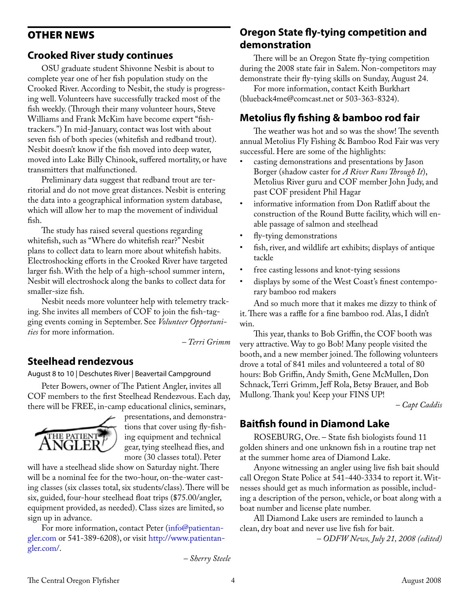## <span id="page-3-0"></span>Other news

## **Crooked River study continues**

OSU graduate student Shivonne Nesbit is about to complete year one of her fish population study on the Crooked River. According to Nesbit, the study is progressing well. Volunteers have successfully tracked most of the fish weekly. (Through their many volunteer hours, Steve Williams and Frank McKim have become expert "fishtrackers.") In mid-January, contact was lost with about seven fish of both species (whitefish and redband trout). Nesbit doesn't know if the fish moved into deep water, moved into Lake Billy Chinook, suffered mortality, or have transmitters that malfunctioned.

Preliminary data suggest that redband trout are territorial and do not move great distances. Nesbit is entering the data into a geographical information system database, which will allow her to map the movement of individual fish.

The study has raised several questions regarding whitefish, such as "Where do whitefish rear?" Nesbit plans to collect data to learn more about whitefish habits. Electroshocking efforts in the Crooked River have targeted larger fish. With the help of a high-school summer intern, Nesbit will electroshock along the banks to collect data for smaller-size fish.

Nesbit needs more volunteer help with telemetry tracking. She invites all members of COF to join the fish-tagging events coming in September. See *Volunteer Opportunities* for more information.

*– Terri Grimm*

### **Steelhead rendezvous**

August 8 to 10 | Deschutes River | Beavertail Campground

Peter Bowers, owner of The Patient Angler, invites all COF members to the first Steelhead Rendezvous. Each day, there will be FREE, in-camp educational clinics, seminars,



presentations, and demonstrations that cover using fly-fishing equipment and technical gear, tying steelhead flies, and more (30 classes total). Peter

will have a steelhead slide show on Saturday night. There will be a nominal fee for the two-hour, on-the-water casting classes (six classes total, six students/class). There will be six, guided, four-hour steelhead float trips (\$75.00/angler, equipment provided, as needed). Class sizes are limited, so sign up in advance.

For more information, contact Peter (info@patientangler.com or 541-389-6208), or visit [http://www.patientan](http://www.patientangler.com/)[gler.com/](http://www.patientangler.com/).

*– Sherry Steele* 

## **Oregon State fly-tying competition and demonstration**

There will be an Oregon State fly-tying competition during the 2008 state fair in Salem. Non-competitors may demonstrate their fly-tying skills on Sunday, August 24.

For more information, contact Keith Burkhart (blueback4me@comcast.net or 503-363-8324).

## **Metolius fly fishing & bamboo rod fair**

The weather was hot and so was the show! The seventh annual Metolius Fly Fishing & Bamboo Rod Fair was very successful. Here are some of the highlights:

- casting demonstrations and presentations by Jason Borger (shadow caster for *A River Runs Through It*), Metolius River guru and COF member John Judy, and past COF president Phil Hagar
- informative information from Don Ratliff about the construction of the Round Butte facility, which will enable passage of salmon and steelhead
- fly-tying demonstrations
- fish, river, and wildlife art exhibits; displays of antique tackle
- free casting lessons and knot-tying sessions
- displays by some of the West Coast's finest contemporary bamboo rod makers

And so much more that it makes me dizzy to think of it. There was a raffle for a fine bamboo rod. Alas, I didn't win.

This year, thanks to Bob Griffin, the COF booth was very attractive. Way to go Bob! Many people visited the booth, and a new member joined. The following volunteers drove a total of 841 miles and volunteered a total of 80 hours: Bob Griffin, Andy Smith, Gene McMullen, Don Schnack, Terri Grimm, Jeff Rola, Betsy Brauer, and Bob Mullong. Thank you! Keep your FINS UP!

*– Capt Caddis*

## **Baitfish found in Diamond Lake**

ROSEBURG, Ore. – State fish biologists found 11 golden shiners and one unknown fish in a routine trap net at the summer home area of Diamond Lake.

Anyone witnessing an angler using live fish bait should call Oregon State Police at 541-440-3334 to report it. Witnesses should get as much information as possible, including a description of the person, vehicle, or boat along with a boat number and license plate number.

All Diamond Lake users are reminded to launch a clean, dry boat and never use live fish for bait. *– ODFW News, July 21, 2008 (edited)*

The Central Oregon Flyfisher **4** August 2008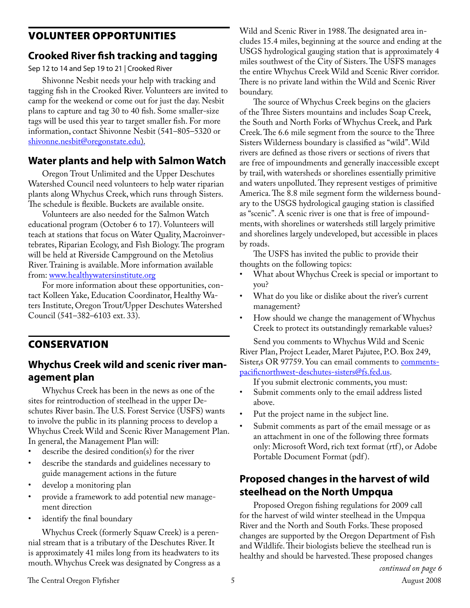## Volunteer opportunities

## **Crooked River fish tracking and tagging**

Sep 12 to 14 and Sep 19 to 21 | Crooked River

Shivonne Nesbit needs your help with tracking and tagging fish in the Crooked River. Volunteers are invited to camp for the weekend or come out for just the day. Nesbit plans to capture and tag 30 to 40 fish. Some smaller-size tags will be used this year to target smaller fish. For more information, contact Shivonne Nesbit (541–805–5320 or [shivonne.nesbit@oregonstate.edu](mailto:shivonne.nesbit@oregonstate.edu)).

## **Water plants and help with Salmon Watch**

Oregon Trout Unlimited and the Upper Deschutes Watershed Council need volunteers to help water riparian plants along Whychus Creek, which runs through Sisters. The schedule is flexible. Buckets are available onsite.

Volunteers are also needed for the Salmon Watch educational program (October 6 to 17). Volunteers will teach at stations that focus on Water Quality, Macroinvertebrates, Riparian Ecology, and Fish Biology. The program will be held at Riverside Campground on the Metolius River. Training is available. More information available from: [www.healthywatersinstitute.org](http://www.healthywatersinstitute.org/)

For more information about these opportunities, contact Kolleen Yake, Education Coordinator, Healthy Waters Institute, Oregon Trout/Upper Deschutes Watershed Council (541–382–6103 ext. 33).

**CONSERVATION** 

## **Whychus Creek wild and scenic river management plan**

Whychus Creek has been in the news as one of the sites for reintroduction of steelhead in the upper Deschutes River basin. The U.S. Forest Service (USFS) wants to involve the public in its planning process to develop a Whychus Creek Wild and Scenic River Management Plan. In general, the Management Plan will:

- describe the desired condition(s) for the river
- describe the standards and guidelines necessary to guide management actions in the future
- develop a monitoring plan
- provide a framework to add potential new management direction
- identify the final boundary

Whychus Creek (formerly Squaw Creek) is a perennial stream that is a tributary of the Deschutes River. It is approximately 41 miles long from its headwaters to its mouth. Whychus Creek was designated by Congress as a Wild and Scenic River in 1988. The designated area includes 15.4 miles, beginning at the source and ending at the USGS hydrological gauging station that is approximately 4 miles southwest of the City of Sisters. The USFS manages the entire Whychus Creek Wild and Scenic River corridor. There is no private land within the Wild and Scenic River boundary.

The source of Whychus Creek begins on the glaciers of the Three Sisters mountains and includes Soap Creek, the South and North Forks of Whychus Creek, and Park Creek. The 6.6 mile segment from the source to the Three Sisters Wilderness boundary is classified as "wild". Wild rivers are defined as those rivers or sections of rivers that are free of impoundments and generally inaccessible except by trail, with watersheds or shorelines essentially primitive and waters unpolluted. They represent vestiges of primitive America. The 8.8 mile segment form the wilderness boundary to the USGS hydrological gauging station is classified as "scenic". A scenic river is one that is free of impoundments, with shorelines or watersheds still largely primitive and shorelines largely undeveloped, but accessible in places by roads.

The USFS has invited the public to provide their thoughts on the following topics:

- What about Whychus Creek is special or important to you?
- What do you like or dislike about the river's current management?
- How should we change the management of Whychus Creek to protect its outstandingly remarkable values?

Send you comments to Whychus Wild and Scenic River Plan, Project Leader, Maret Pajutee, P.O. Box 249, Sister,s OR 97759. You can email comments to [comments](mailto:comments-pacificnorthwest-deschutes-sisters@fs.fed.us)[pacificnorthwest-deschutes-sisters@fs.fed.us.](mailto:comments-pacificnorthwest-deschutes-sisters@fs.fed.us)

If you submit electronic comments, you must:

- Submit comments only to the email address listed above.
- Put the project name in the subject line.
- Submit comments as part of the email message or as an attachment in one of the following three formats only: Microsoft Word, rich text format (rtf ), or Adobe Portable Document Format (pdf).

## **Proposed changes in the harvest of wild steelhead on the North Umpqua**

Proposed Oregon fishing regulations for 2009 call for the harvest of wild winter steelhead in the Umpqua River and the North and South Forks. These proposed changes are supported by the Oregon Department of Fish and Wildlife. Their biologists believe the steelhead run is healthy and should be harvested. These proposed changes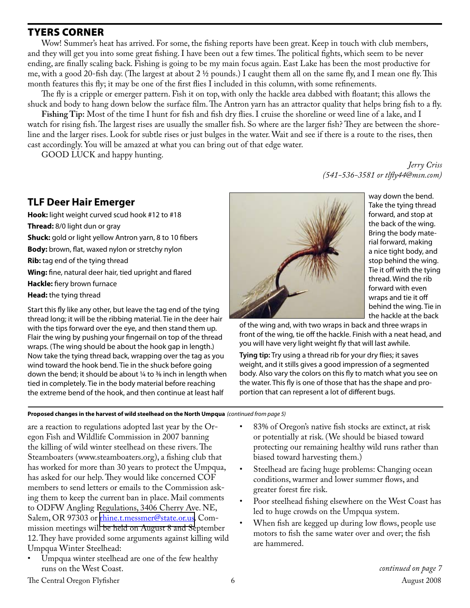### Tyers Corner

Wow! Summer's heat has arrived. For some, the fishing reports have been great. Keep in touch with club members, and they will get you into some great fishing. I have been out a few times. The political fights, which seem to be never ending, are finally scaling back. Fishing is going to be my main focus again. East Lake has been the most productive for me, with a good 20-fish day. (The largest at about  $2 \frac{1}{2}$  pounds.) I caught them all on the same fly, and I mean one fly. This month features this fly; it may be one of the first flies I included in this column, with some refinements.

The fly is a cripple or emerger pattern. Fish it on top, with only the hackle area dabbed with floatant; this allows the shuck and body to hang down below the surface film. The Antron yarn has an attractor quality that helps bring fish to a fly.

**Fishing Tip:** Most of the time I hunt for fish and fish dry flies. I cruise the shoreline or weed line of a lake, and I watch for rising fish. The largest rises are usually the smaller fish. So where are the larger fish? They are between the shoreline and the larger rises. Look for subtle rises or just bulges in the water. Wait and see if there is a route to the rises, then cast accordingly. You will be amazed at what you can bring out of that edge water.

GOOD LUCK and happy hunting.

*Jerry Criss (541-536-3581 or tlfly44@msn.com)*

## **TLF Deer Hair Emerger**

**Hook:** light weight curved scud hook #12 to #18 **Thread:** 8/0 light dun or gray **Shuck:** gold or light yellow Antron yarn, 8 to 10 fibers **Body:** brown, flat, waxed nylon or stretchy nylon **Rib:** tag end of the tying thread **Wing:** fine, natural deer hair, tied upright and flared **Hackle:** fiery brown furnace **Head:** the tying thread Start this fly like any other, but leave the tag end of the tying thread long; it will be the ribbing material. Tie in the deer hair with the tips forward over the eye, and then stand them up. Flair the wing by pushing your fingernail on top of the thread

wraps. (The wing should be about the hook gap in length.) Now take the tying thread back, wrapping over the tag as you wind toward the hook bend. Tie in the shuck before going down the bend; it should be about  $\frac{1}{4}$  to  $\frac{3}{8}$  inch in length when tied in completely. Tie in the body material before reaching the extreme bend of the hook, and then continue at least half



way down the bend. Take the tying thread forward, and stop at the back of the wing. Bring the body material forward, making a nice tight body, and stop behind the wing. Tie it off with the tying thread. Wind the rib forward with even wraps and tie it off behind the wing. Tie in the hackle at the back

of the wing and, with two wraps in back and three wraps in front of the wing, tie off the hackle. Finish with a neat head, and you will have very light weight fly that will last awhile.

**Tying tip:** Try using a thread rib for your dry flies; it saves weight, and it stills gives a good impression of a segmented body. Also vary the colors on this fly to match what you see on the water. This fly is one of those that has the shape and proportion that can represent a lot of different bugs.

### **Proposed changes in the harvest of wild steelhead on the North Umpqua** *(continued from page 5)*

are a reaction to regulations adopted last year by the Oregon Fish and Wildlife Commission in 2007 banning the killing of wild winter steelhead on these rivers. The Steamboaters (www.steamboaters.org), a fishing club that has worked for more than 30 years to protect the Umpqua, has asked for our help. They would like concerned COF members to send letters or emails to the Commission asking them to keep the current ban in place. Mail comments to ODFW Angling Regulations, 3406 Cherry Ave. NE, Salem, OR 97303 or [rhine.t.messmer@state.or.us](mailto:rhine.t.messmer@state.or.us). Commission meetings will be held on August 8 and September 12. They have provided some arguments against killing wild Umpqua Winter Steelhead:

Umpqua winter steelhead are one of the few healthy runs on the West Coast.

- 83% of Oregon's native fish stocks are extinct, at risk or potentially at risk. (We should be biased toward protecting our remaining healthy wild runs rather than biased toward harvesting them.)
- Steelhead are facing huge problems: Changing ocean conditions, warmer and lower summer flows, and greater forest fire risk.
- Poor steelhead fishing elsewhere on the West Coast has led to huge crowds on the Umpqua system.
- When fish are kegged up during low flows, people use motors to fish the same water over and over; the fish are hammered.

The Central Oregon Flyfisher 6 August 2008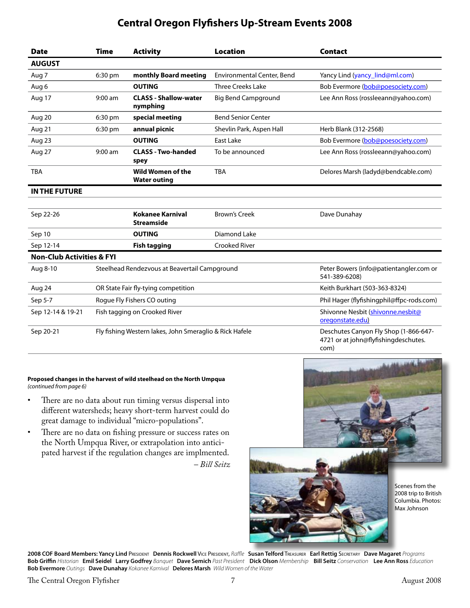# **Central Oregon Flyfishers Up-Stream Events 2008**

| <b>Date</b>                          | <b>Time</b>                                             | <b>Activity</b>                                 | <b>Location</b>            | <b>Contact</b>                                                                        |
|--------------------------------------|---------------------------------------------------------|-------------------------------------------------|----------------------------|---------------------------------------------------------------------------------------|
| <b>AUGUST</b>                        |                                                         |                                                 |                            |                                                                                       |
| Aug 7                                | 6:30 pm                                                 | monthly Board meeting                           | Environmental Center, Bend | Yancy Lind (yancy_lind@ml.com)                                                        |
| Aug 6                                |                                                         | <b>OUTING</b>                                   | <b>Three Creeks Lake</b>   | Bob Evermore (bob@poesociety.com)                                                     |
| Aug 17                               | $9:00$ am                                               | <b>CLASS - Shallow-water</b><br>nymphing        | <b>Big Bend Campground</b> | Lee Ann Ross (rossleeann@yahoo.com)                                                   |
| Aug 20                               | 6:30 pm                                                 | special meeting                                 | <b>Bend Senior Center</b>  |                                                                                       |
| Aug 21                               | 6:30 pm                                                 | annual picnic                                   | Shevlin Park, Aspen Hall   | Herb Blank (312-2568)                                                                 |
| Aug 23                               |                                                         | <b>OUTING</b>                                   | East Lake                  | Bob Evermore (bob@poesociety.com)                                                     |
| Aug 27                               | $9:00$ am                                               | <b>CLASS - Two-handed</b><br>spey               | To be announced            | Lee Ann Ross (rossleeann@yahoo.com)                                                   |
| <b>TBA</b>                           |                                                         | <b>Wild Women of the</b><br><b>Water outing</b> | <b>TBA</b>                 | Delores Marsh (ladyd@bendcable.com)                                                   |
| <b>IN THE FUTURE</b>                 |                                                         |                                                 |                            |                                                                                       |
| Sep 22-26                            |                                                         | <b>Kokanee Karnival</b><br><b>Streamside</b>    | <b>Brown's Creek</b>       | Dave Dunahay                                                                          |
| Sep 10                               |                                                         | <b>OUTING</b>                                   | Diamond Lake               |                                                                                       |
| Sep 12-14                            |                                                         | <b>Fish tagging</b>                             | <b>Crooked River</b>       |                                                                                       |
| <b>Non-Club Activities &amp; FYI</b> |                                                         |                                                 |                            |                                                                                       |
| Aug 8-10                             | Steelhead Rendezvous at Beavertail Campground           |                                                 |                            | Peter Bowers (info@patientangler.com or<br>541-389-6208)                              |
| Aug 24                               | OR State Fair fly-tying competition                     |                                                 |                            | Keith Burkhart (503-363-8324)                                                         |
| Sep 5-7                              | Rogue Fly Fishers CO outing                             |                                                 |                            | Phil Hager (flyfishingphil@ffpc-rods.com)                                             |
| Sep 12-14 & 19-21                    | Fish tagging on Crooked River                           |                                                 |                            | Shivonne Nesbit (shivonne.nesbit@<br>oregonstate.edu)                                 |
| Sep 20-21                            | Fly fishing Western lakes, John Smeraglio & Rick Hafele |                                                 |                            | Deschutes Canyon Fly Shop (1-866-647-<br>4721 or at john@flyfishingdeschutes.<br>com) |

#### **Proposed changes in the harvest of wild steelhead on the North Umpqua** *(continued from page 6)*

- There are no data about run timing versus dispersal into different watersheds; heavy short-term harvest could do great damage to individual "micro-populations".
- There are no data on fishing pressure or success rates on the North Umpqua River, or extrapolation into anticipated harvest if the regulation changes are implmented. *– Bill Seitz*



**2008 COF Board Members: Yancy Lind** President **Dennis Rockwell** Vice President, *Raffle* **Susan Telford** Treasurer **Earl Rettig** Secretary **Dave Magaret** *Programs* Bob Griffin Historian Emil Seidel Larry Godfrey Banquet Dave Semich Past President Dick Olson Membership Bill Seitz Conservation Lee Ann Ross Education **Bob Evermore** *Outings* **Dave Dunahay** *Kokanee Karnival* **Delores Marsh** *Wild Women of the Water*

The Central Oregon Flyfisher 7 and 7 August 2008